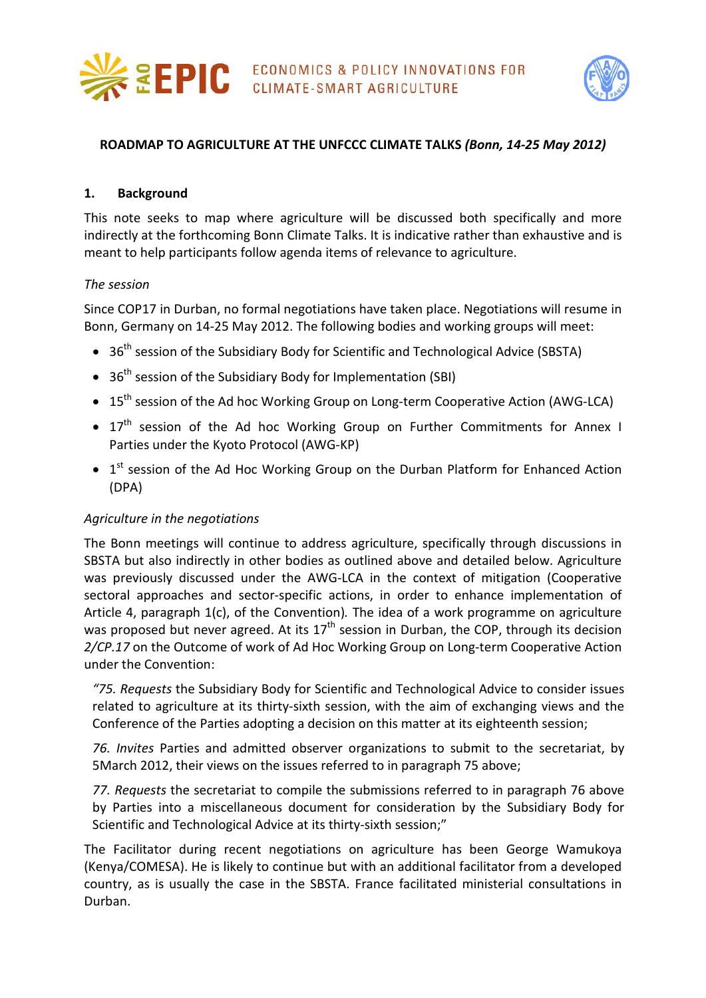



## **ROADMAP TO AGRICULTURE AT THE UNFCCC CLIMATE TALKS** *(Bonn, 14-25 May 2012)*

#### **1. Background**

This note seeks to map where agriculture will be discussed both specifically and more indirectly at the forthcoming Bonn Climate Talks. It is indicative rather than exhaustive and is meant to help participants follow agenda items of relevance to agriculture.

#### *The session*

Since COP17 in Durban, no formal negotiations have taken place. Negotiations will resume in Bonn, Germany on 14-25 May 2012. The following bodies and working groups will meet:

- $36<sup>th</sup>$  session of the Subsidiary Body for Scientific and Technological Advice (SBSTA)
- $36<sup>th</sup>$  session of the Subsidiary Body for Implementation (SBI)
- 15<sup>th</sup> session of the Ad hoc Working Group on Long-term Cooperative Action (AWG-LCA)
- 17<sup>th</sup> session of the Ad hoc Working Group on Further Commitments for Annex I Parties under the Kyoto Protocol (AWG-KP)
- $\bullet$  1<sup>st</sup> session of the Ad Hoc Working Group on the Durban Platform for Enhanced Action (DPA)

## *Agriculture in the negotiations*

The Bonn meetings will continue to address agriculture, specifically through discussions in SBSTA but also indirectly in other bodies as outlined above and detailed below. Agriculture was previously discussed under the AWG-LCA in the context of mitigation (Cooperative sectoral approaches and sector-specific actions, in order to enhance implementation of Article 4, paragraph 1(c), of the Convention)*.* The idea of a work programme on agriculture was proposed but never agreed. At its  $17<sup>th</sup>$  session in Durban, the COP, through its decision *2/CP.17* on the Outcome of work of Ad Hoc Working Group on Long-term Cooperative Action under the Convention:

*"75. Requests* the Subsidiary Body for Scientific and Technological Advice to consider issues related to agriculture at its thirty-sixth session, with the aim of exchanging views and the Conference of the Parties adopting a decision on this matter at its eighteenth session;

*76. Invites* Parties and admitted observer organizations to submit to the secretariat, by 5March 2012, their views on the issues referred to in paragraph 75 above;

*77. Requests* the secretariat to compile the submissions referred to in paragraph 76 above by Parties into a miscellaneous document for consideration by the Subsidiary Body for Scientific and Technological Advice at its thirty-sixth session;"

The Facilitator during recent negotiations on agriculture has been George Wamukoya (Kenya/COMESA). He is likely to continue but with an additional facilitator from a developed country, as is usually the case in the SBSTA. France facilitated ministerial consultations in Durban.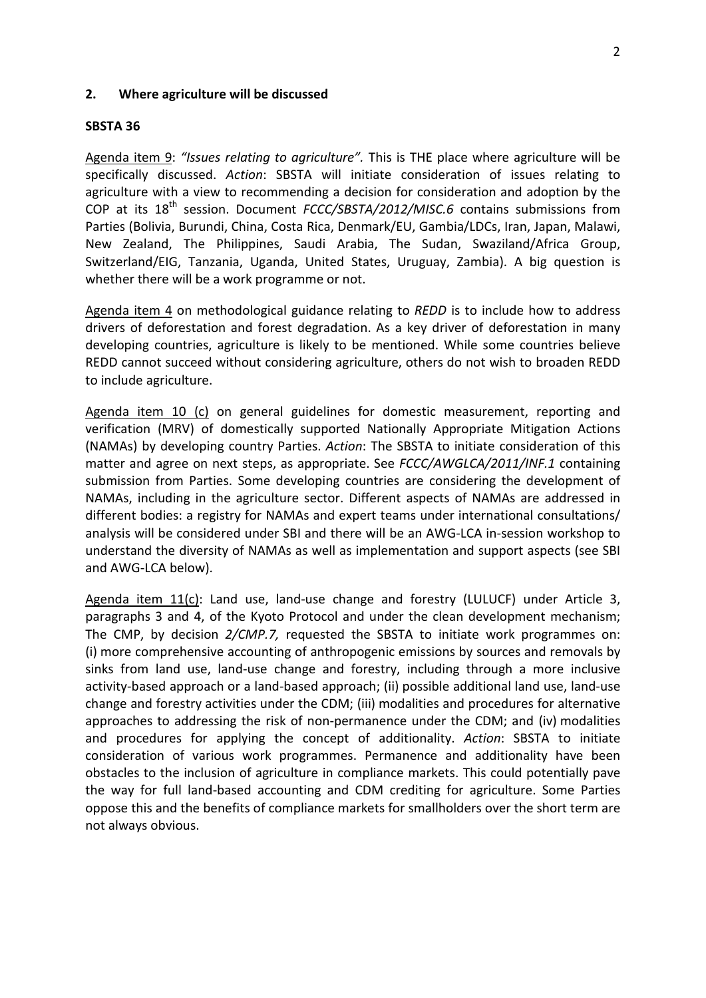#### **2. Where agriculture will be discussed**

#### **SBSTA 36**

Agenda item 9: *"Issues relating to agriculture".* This is THE place where agriculture will be specifically discussed. *Action*: SBSTA will initiate consideration of issues relating to agriculture with a view to recommending a decision for consideration and adoption by the COP at its 18th session. Document *FCCC/SBSTA/2012/MISC.6* contains submissions from Parties (Bolivia, Burundi, China, Costa Rica, Denmark/EU, Gambia/LDCs, Iran, Japan, Malawi, New Zealand, The Philippines, Saudi Arabia, The Sudan, Swaziland/Africa Group, Switzerland/EIG, Tanzania, Uganda, United States, Uruguay, Zambia). A big question is whether there will be a work programme or not.

Agenda item 4 on methodological guidance relating to *REDD* is to include how to address drivers of deforestation and forest degradation. As a key driver of deforestation in many developing countries, agriculture is likely to be mentioned. While some countries believe REDD cannot succeed without considering agriculture, others do not wish to broaden REDD to include agriculture.

Agenda item 10 (c) on general guidelines for domestic measurement, reporting and verification (MRV) of domestically supported Nationally Appropriate Mitigation Actions (NAMAs) by developing country Parties. *Action*: The SBSTA to initiate consideration of this matter and agree on next steps, as appropriate. See *FCCC/AWGLCA/2011/INF.1* containing submission from Parties. Some developing countries are considering the development of NAMAs, including in the agriculture sector. Different aspects of NAMAs are addressed in different bodies: a registry for NAMAs and expert teams under international consultations/ analysis will be considered under SBI and there will be an AWG-LCA in-session workshop to understand the diversity of NAMAs as well as implementation and support aspects (see SBI and AWG-LCA below).

Agenda item 11(c): Land use, land-use change and forestry (LULUCF) under Article 3, paragraphs 3 and 4, of the Kyoto Protocol and under the clean development mechanism; The CMP, by decision *2/CMP.7,* requested the SBSTA to initiate work programmes on: (i) more comprehensive accounting of anthropogenic emissions by sources and removals by sinks from land use, land-use change and forestry, including through a more inclusive activity-based approach or a land-based approach; (ii) possible additional land use, land-use change and forestry activities under the CDM; (iii) modalities and procedures for alternative approaches to addressing the risk of non-permanence under the CDM; and (iv) modalities and procedures for applying the concept of additionality. *Action*: SBSTA to initiate consideration of various work programmes. Permanence and additionality have been obstacles to the inclusion of agriculture in compliance markets. This could potentially pave the way for full land-based accounting and CDM crediting for agriculture. Some Parties oppose this and the benefits of compliance markets for smallholders over the short term are not always obvious.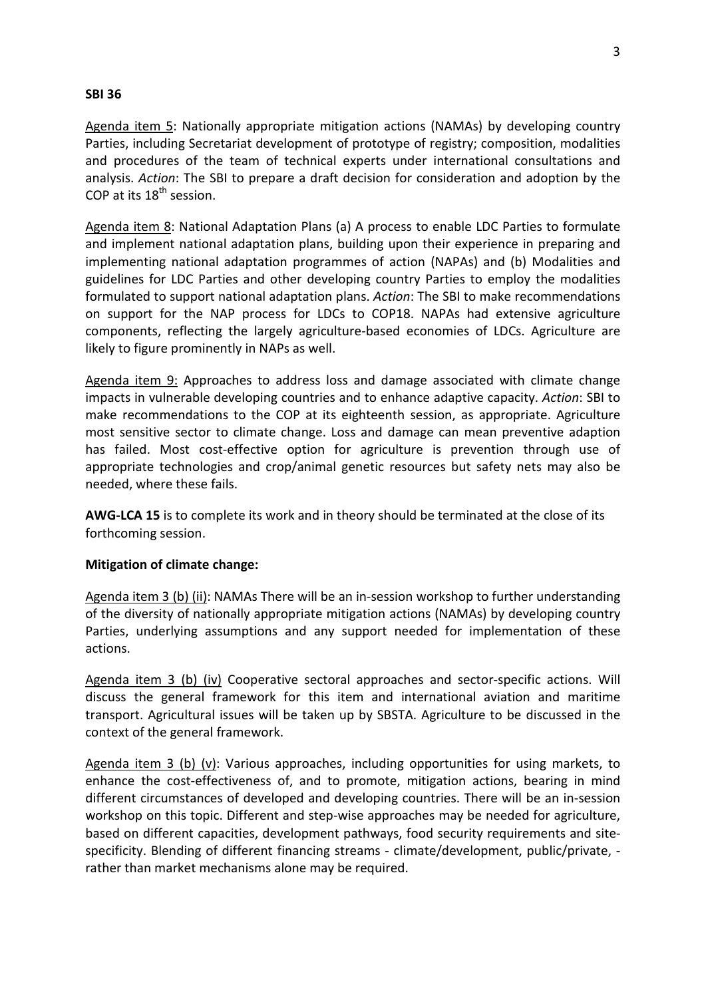## **SBI 36**

Agenda item 5: Nationally appropriate mitigation actions (NAMAs) by developing country Parties, including Secretariat development of prototype of registry; composition, modalities and procedures of the team of technical experts under international consultations and analysis. *Action*: The SBI to prepare a draft decision for consideration and adoption by the COP at its  $18<sup>th</sup>$  session.

Agenda item 8: National Adaptation Plans (a) A process to enable LDC Parties to formulate and implement national adaptation plans, building upon their experience in preparing and implementing national adaptation programmes of action (NAPAs) and (b) Modalities and guidelines for LDC Parties and other developing country Parties to employ the modalities formulated to support national adaptation plans. *Action*: The SBI to make recommendations on support for the NAP process for LDCs to COP18. NAPAs had extensive agriculture components, reflecting the largely agriculture-based economies of LDCs. Agriculture are likely to figure prominently in NAPs as well.

Agenda item 9: Approaches to address loss and damage associated with climate change impacts in vulnerable developing countries and to enhance adaptive capacity. *Action*: SBI to make recommendations to the COP at its eighteenth session, as appropriate. Agriculture most sensitive sector to climate change. Loss and damage can mean preventive adaption has failed. Most cost-effective option for agriculture is prevention through use of appropriate technologies and crop/animal genetic resources but safety nets may also be needed, where these fails.

**AWG-LCA 15** is to complete its work and in theory should be terminated at the close of its forthcoming session.

## **Mitigation of climate change:**

Agenda item 3 (b) (ii): NAMAs There will be an in-session workshop to further understanding of the diversity of nationally appropriate mitigation actions (NAMAs) by developing country Parties, underlying assumptions and any support needed for implementation of these actions.

Agenda item 3 (b) (iv) Cooperative sectoral approaches and sector-specific actions. Will discuss the general framework for this item and international aviation and maritime transport. Agricultural issues will be taken up by SBSTA. Agriculture to be discussed in the context of the general framework.

Agenda item 3 (b) (v): Various approaches, including opportunities for using markets, to enhance the cost-effectiveness of, and to promote, mitigation actions, bearing in mind different circumstances of developed and developing countries. There will be an in-session workshop on this topic. Different and step-wise approaches may be needed for agriculture, based on different capacities, development pathways, food security requirements and sitespecificity. Blending of different financing streams - climate/development, public/private, rather than market mechanisms alone may be required.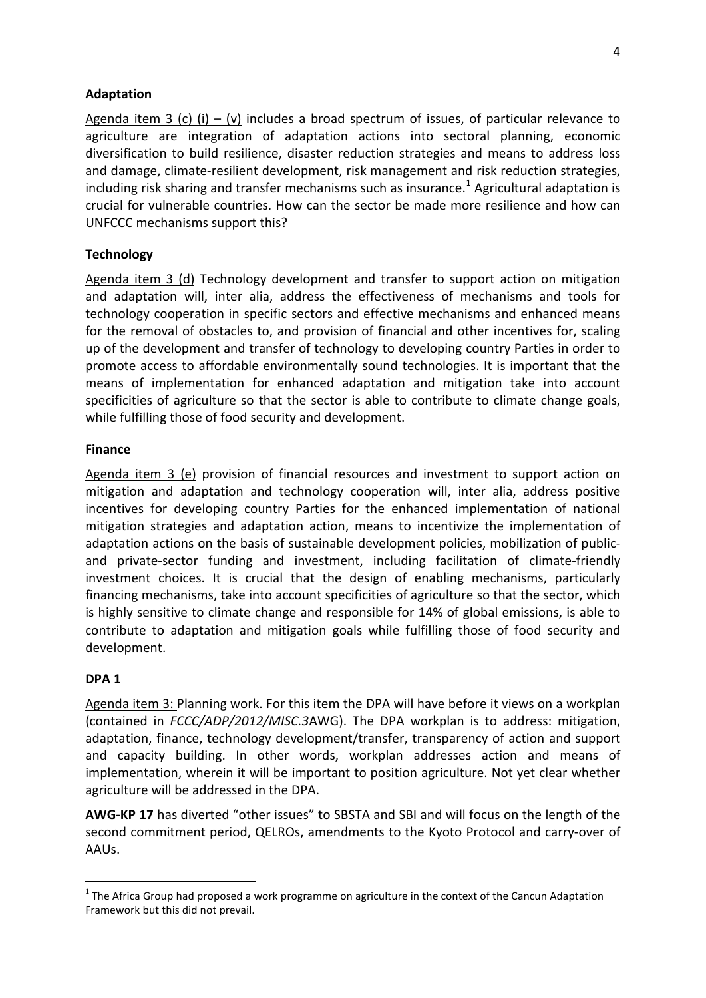# **Adaptation**

Agenda item 3 (c) (i) – (v) includes a broad spectrum of issues, of particular relevance to agriculture are integration of adaptation actions into sectoral planning, economic diversification to build resilience, disaster reduction strategies and means to address loss and damage, climate-resilient development, risk management and risk reduction strategies, including risk sharing and transfer mechanisms such as insurance. [1](#page-3-0) Agricultural adaptation is crucial for vulnerable countries. How can the sector be made more resilience and how can UNFCCC mechanisms support this?

## **Technology**

Agenda item 3 (d) Technology development and transfer to support action on mitigation and adaptation will, inter alia, address the effectiveness of mechanisms and tools for technology cooperation in specific sectors and effective mechanisms and enhanced means for the removal of obstacles to, and provision of financial and other incentives for, scaling up of the development and transfer of technology to developing country Parties in order to promote access to affordable environmentally sound technologies. It is important that the means of implementation for enhanced adaptation and mitigation take into account specificities of agriculture so that the sector is able to contribute to climate change goals, while fulfilling those of food security and development.

## **Finance**

Agenda item 3 (e) provision of financial resources and investment to support action on mitigation and adaptation and technology cooperation will, inter alia, address positive incentives for developing country Parties for the enhanced implementation of national mitigation strategies and adaptation action, means to incentivize the implementation of adaptation actions on the basis of sustainable development policies, mobilization of publicand private-sector funding and investment, including facilitation of climate-friendly investment choices. It is crucial that the design of enabling mechanisms, particularly financing mechanisms, take into account specificities of agriculture so that the sector, which is highly sensitive to climate change and responsible for 14% of global emissions, is able to contribute to adaptation and mitigation goals while fulfilling those of food security and development.

## **DPA 1**

Agenda item 3: Planning work. For this item the DPA will have before it views on a workplan (contained in *FCCC/ADP/2012/MISC.3*AWG). The DPA workplan is to address: mitigation, adaptation, finance, technology development/transfer, transparency of action and support and capacity building. In other words, workplan addresses action and means of implementation, wherein it will be important to position agriculture. Not yet clear whether agriculture will be addressed in the DPA.

**AWG-KP 17** has diverted "other issues" to SBSTA and SBI and will focus on the length of the second commitment period, QELROs, amendments to the Kyoto Protocol and carry-over of AAUs.

<span id="page-3-0"></span> $1$  The Africa Group had proposed a work programme on agriculture in the context of the Cancun Adaptation Framework but this did not prevail.